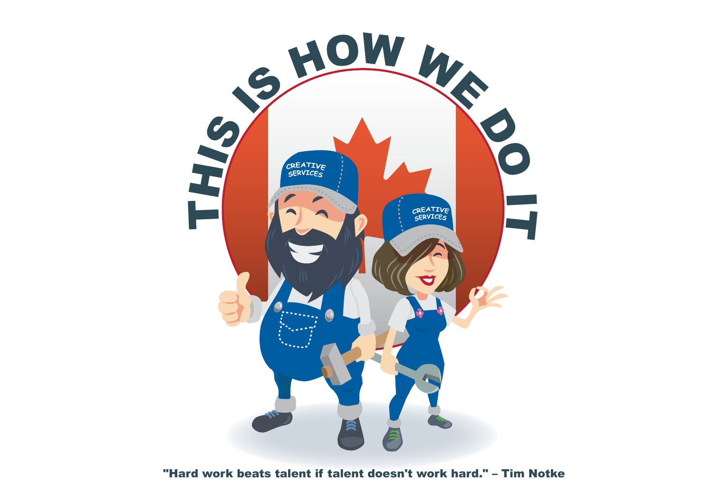

## "Hard work beats talent if talent doesn't work hard." – Tim Notke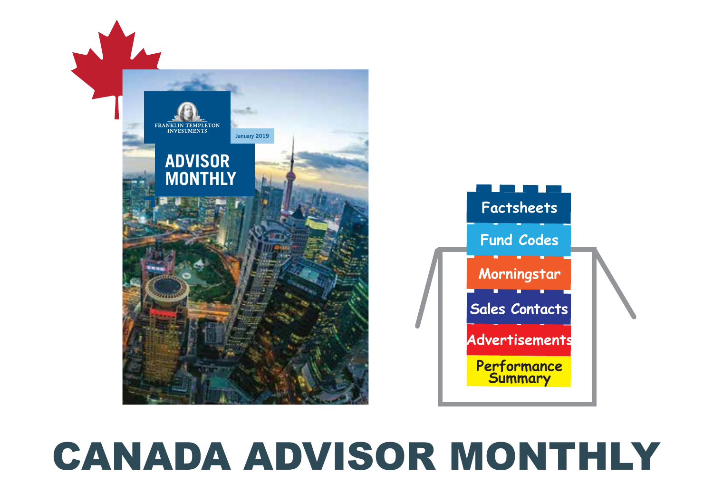

## CANADA ADVISOR MONTHLY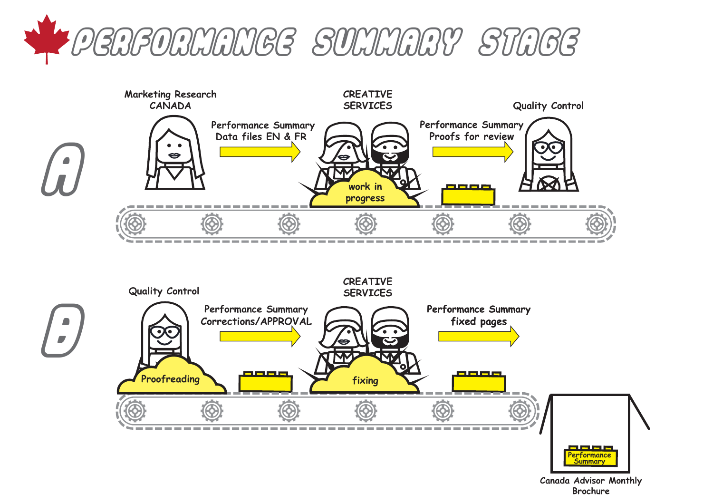

r<br>B





**Canada Advisor Monthly Brochure**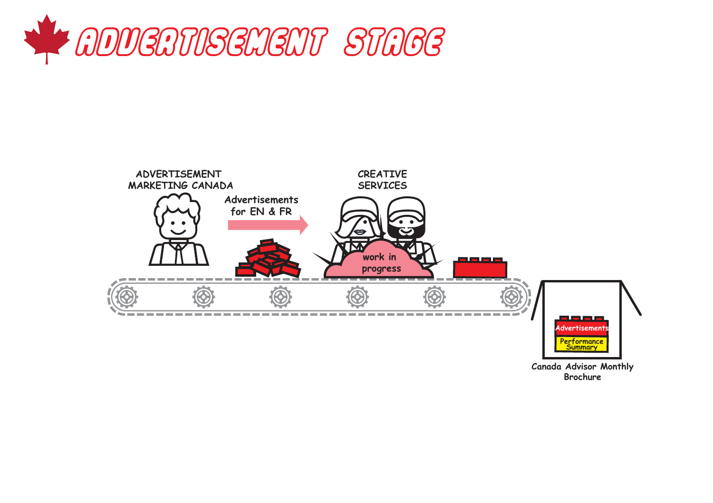



**Canada Advisor Monthly Brochure**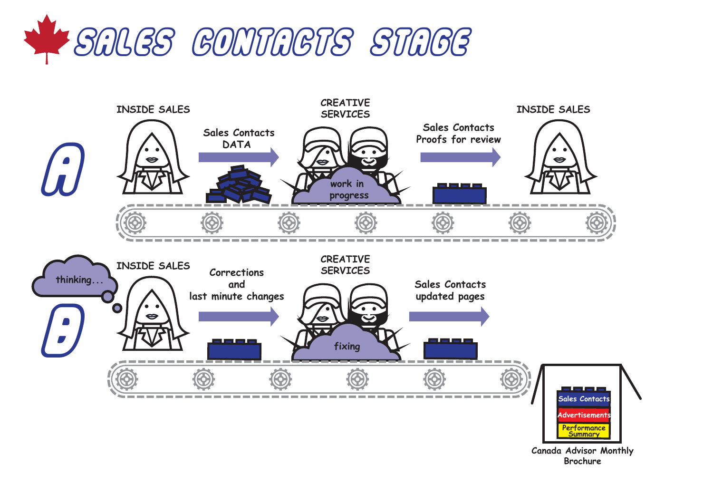



**Canada Advisor Monthly Brochure**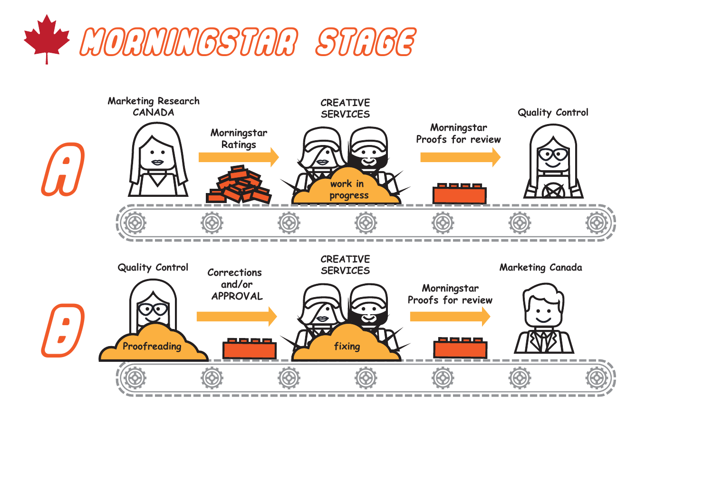

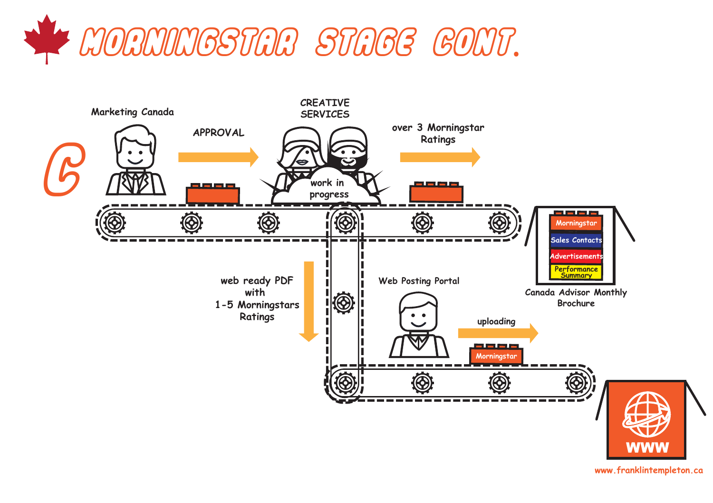



**www.franklintempleton.ca**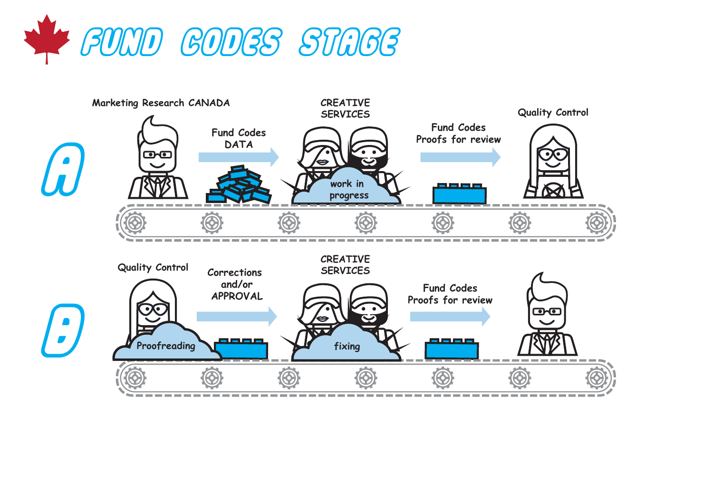

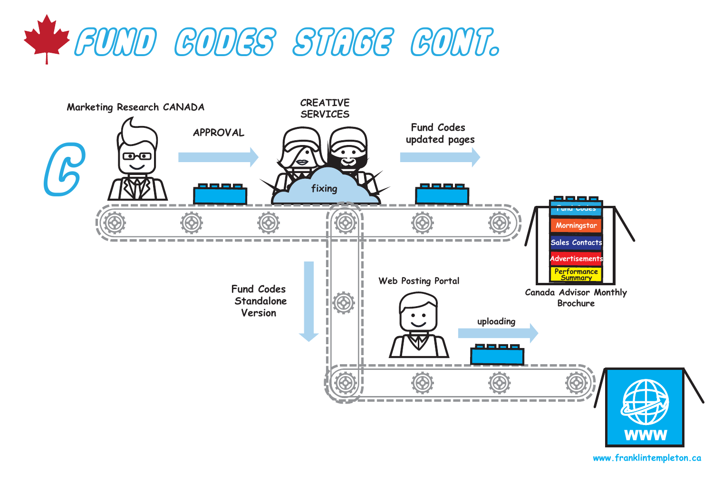



**www.franklintempleton.ca**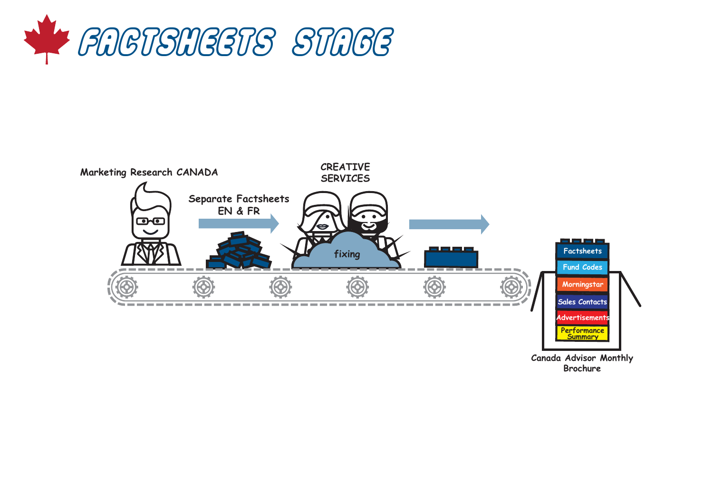



**Brochure**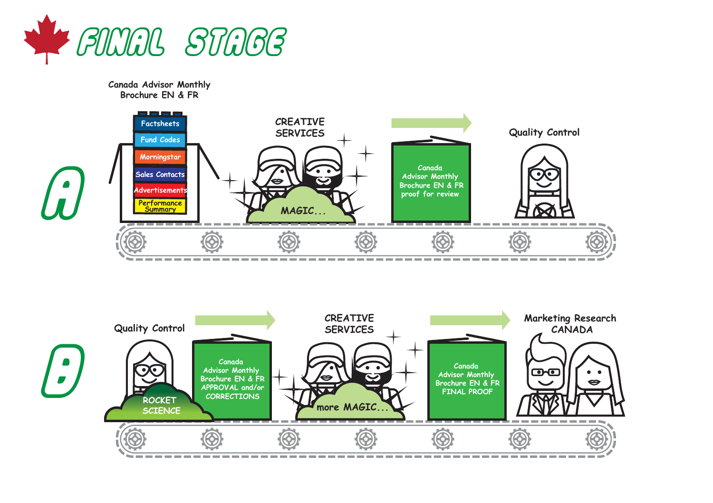

**Canada Advisor Monthly Brochure EN & FR** 



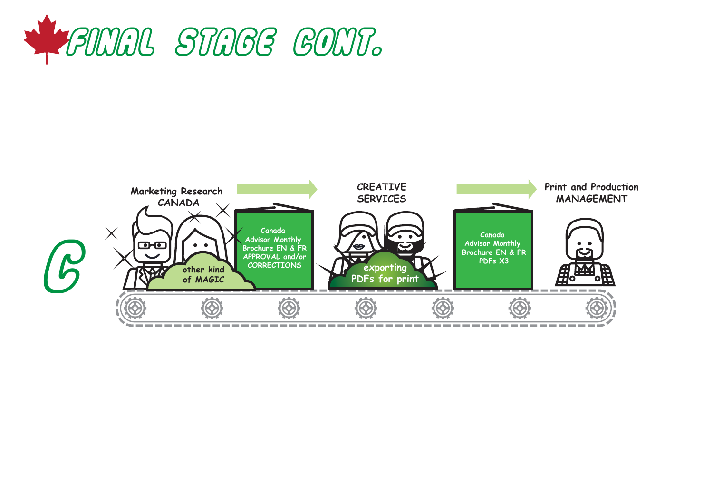

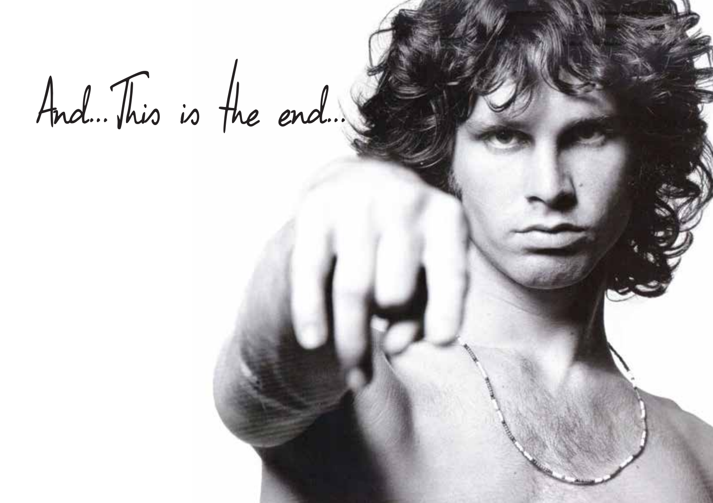## And...This is the end...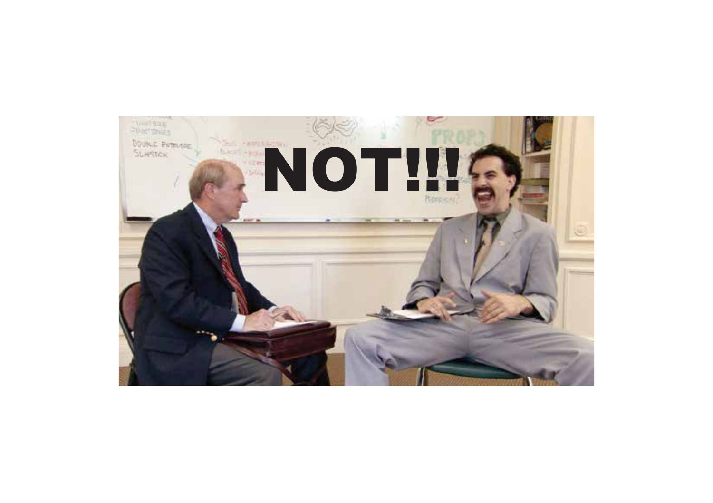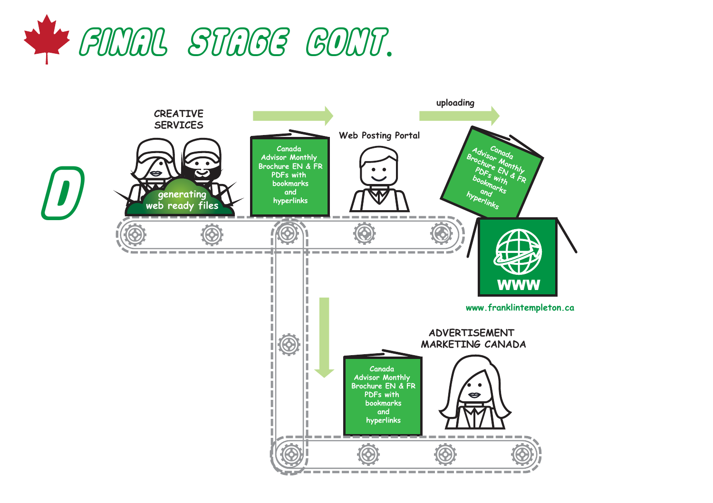